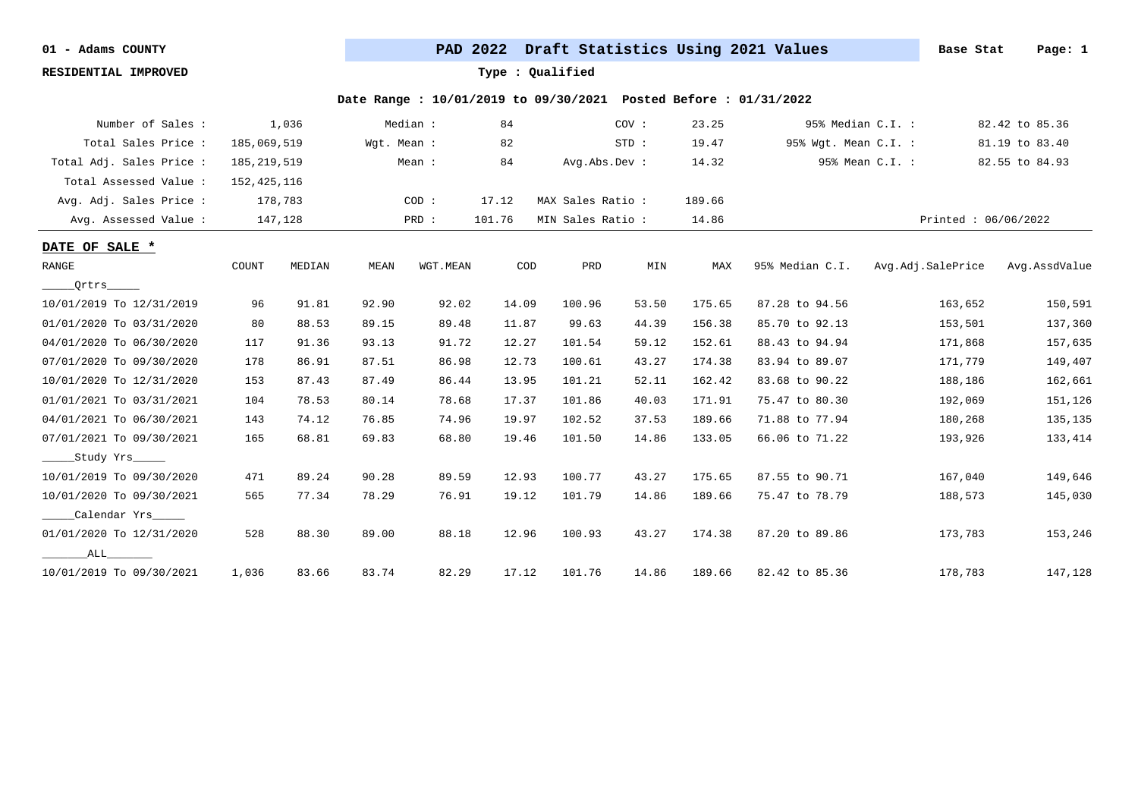**RESIDENTIAL IMPROVED Type : Qualified**

| Number of Sales :        |               | 1,036   |             | Median : | 84     |                   | COV:  | 23.25  |                      | 95% Median C.I. :   | 82.42 to 85.36 |
|--------------------------|---------------|---------|-------------|----------|--------|-------------------|-------|--------|----------------------|---------------------|----------------|
| Total Sales Price :      | 185,069,519   |         | Wgt. Mean : |          | 82     |                   | STD:  | 19.47  | 95% Wgt. Mean C.I. : |                     | 81.19 to 83.40 |
| Total Adj. Sales Price : | 185, 219, 519 |         |             | Mean :   | 84     | Avg.Abs.Dev :     |       | 14.32  |                      | 95% Mean C.I. :     | 82.55 to 84.93 |
| Total Assessed Value:    | 152, 425, 116 |         |             |          |        |                   |       |        |                      |                     |                |
| Avg. Adj. Sales Price :  |               | 178,783 |             | COD:     | 17.12  | MAX Sales Ratio:  |       | 189.66 |                      |                     |                |
| Avg. Assessed Value :    |               | 147,128 |             | PRD :    | 101.76 | MIN Sales Ratio : |       | 14.86  |                      | Printed: 06/06/2022 |                |
| DATE OF SALE *           |               |         |             |          |        |                   |       |        |                      |                     |                |
| RANGE                    | COUNT         | MEDIAN  | MEAN        | WGT.MEAN | COD    | PRD               | MIN   | MAX    | 95% Median C.I.      | Avg.Adj.SalePrice   | Avg.AssdValue  |
| Ortrs_____               |               |         |             |          |        |                   |       |        |                      |                     |                |
| 10/01/2019 To 12/31/2019 | 96            | 91.81   | 92.90       | 92.02    | 14.09  | 100.96            | 53.50 | 175.65 | 87.28 to 94.56       | 163,652             | 150,591        |
| 01/01/2020 To 03/31/2020 | 80            | 88.53   | 89.15       | 89.48    | 11.87  | 99.63             | 44.39 | 156.38 | 85.70 to 92.13       | 153,501             | 137,360        |
| 04/01/2020 To 06/30/2020 | 117           | 91.36   | 93.13       | 91.72    | 12.27  | 101.54            | 59.12 | 152.61 | 88.43 to 94.94       | 171,868             | 157,635        |
| 07/01/2020 To 09/30/2020 | 178           | 86.91   | 87.51       | 86.98    | 12.73  | 100.61            | 43.27 | 174.38 | 83.94 to 89.07       | 171,779             | 149,407        |
| 10/01/2020 To 12/31/2020 | 153           | 87.43   | 87.49       | 86.44    | 13.95  | 101.21            | 52.11 | 162.42 | 83.68 to 90.22       | 188,186             | 162,661        |
| 01/01/2021 To 03/31/2021 | 104           | 78.53   | 80.14       | 78.68    | 17.37  | 101.86            | 40.03 | 171.91 | 75.47 to 80.30       | 192,069             | 151,126        |
| 04/01/2021 To 06/30/2021 | 143           | 74.12   | 76.85       | 74.96    | 19.97  | 102.52            | 37.53 | 189.66 | 71.88 to 77.94       | 180,268             | 135,135        |
| 07/01/2021 To 09/30/2021 | 165           | 68.81   | 69.83       | 68.80    | 19.46  | 101.50            | 14.86 | 133.05 | 66.06 to 71.22       | 193,926             | 133,414        |
| Study Yrs ______         |               |         |             |          |        |                   |       |        |                      |                     |                |
| 10/01/2019 To 09/30/2020 | 471           | 89.24   | 90.28       | 89.59    | 12.93  | 100.77            | 43.27 | 175.65 | 87.55 to 90.71       | 167,040             | 149,646        |
| 10/01/2020 To 09/30/2021 | 565           | 77.34   | 78.29       | 76.91    | 19.12  | 101.79            | 14.86 | 189.66 | 75.47 to 78.79       | 188,573             | 145,030        |
| _____Calendar Yrs_____   |               |         |             |          |        |                   |       |        |                      |                     |                |
| 01/01/2020 To 12/31/2020 | 528           | 88.30   | 89.00       | 88.18    | 12.96  | 100.93            | 43.27 | 174.38 | 87.20 to 89.86       | 173,783             | 153,246        |
| ALL                      |               |         |             |          |        |                   |       |        |                      |                     |                |
| 10/01/2019 To 09/30/2021 | 1,036         | 83.66   | 83.74       | 82.29    | 17.12  | 101.76            | 14.86 | 189.66 | 82.42 to 85.36       | 178,783             | 147,128        |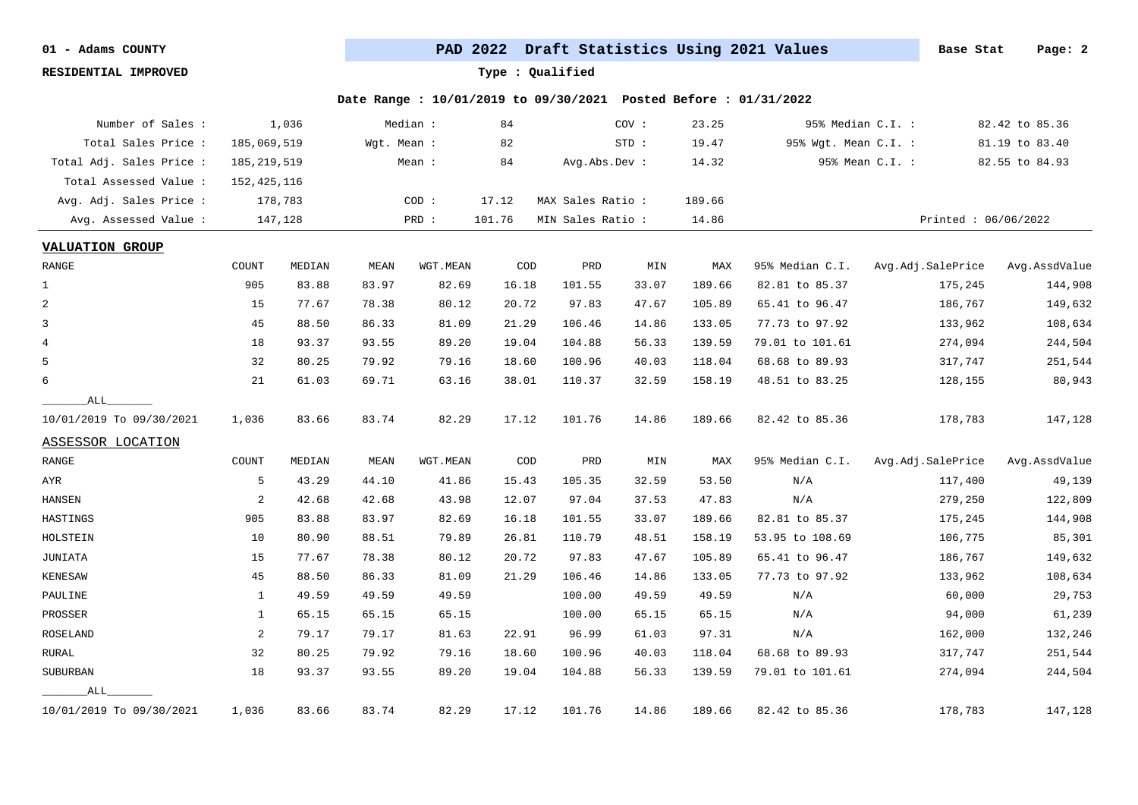**RESIDENTIAL IMPROVED Type : Qualified**

| Number of Sales :        |               | 1,036   |             | Median : | 84     |                   | COV : | 23.25  |                      | 95% Median C.I. :   | 82.42 to 85.36 |
|--------------------------|---------------|---------|-------------|----------|--------|-------------------|-------|--------|----------------------|---------------------|----------------|
| Total Sales Price :      | 185,069,519   |         | Wgt. Mean : |          | 82     |                   | STD:  | 19.47  | 95% Wgt. Mean C.I. : |                     | 81.19 to 83.40 |
| Total Adj. Sales Price : | 185, 219, 519 |         |             | Mean :   | 84     | Avg.Abs.Dev :     |       | 14.32  |                      | 95% Mean C.I. :     | 82.55 to 84.93 |
| Total Assessed Value :   | 152, 425, 116 |         |             |          |        |                   |       |        |                      |                     |                |
| Avg. Adj. Sales Price :  |               | 178,783 |             | COD:     | 17.12  | MAX Sales Ratio : |       | 189.66 |                      |                     |                |
| Avg. Assessed Value :    |               | 147,128 |             | PRD :    | 101.76 | MIN Sales Ratio : |       | 14.86  |                      | Printed: 06/06/2022 |                |
| <b>VALUATION GROUP</b>   |               |         |             |          |        |                   |       |        |                      |                     |                |
| RANGE                    | COUNT         | MEDIAN  | MEAN        | WGT.MEAN | COD    | PRD               | MIN   | MAX    | 95% Median C.I.      | Avg.Adj.SalePrice   | Avg.AssdValue  |
| $\mathbf{1}$             | 905           | 83.88   | 83.97       | 82.69    | 16.18  | 101.55            | 33.07 | 189.66 | 82.81 to 85.37       | 175,245             | 144,908        |
| 2                        | 15            | 77.67   | 78.38       | 80.12    | 20.72  | 97.83             | 47.67 | 105.89 | 65.41 to 96.47       | 186,767             | 149,632        |
| 3                        | 45            | 88.50   | 86.33       | 81.09    | 21.29  | 106.46            | 14.86 | 133.05 | 77.73 to 97.92       | 133,962             | 108,634        |
| $\overline{4}$           | 18            | 93.37   | 93.55       | 89.20    | 19.04  | 104.88            | 56.33 | 139.59 | 79.01 to 101.61      | 274,094             | 244,504        |
| 5                        | 32            | 80.25   | 79.92       | 79.16    | 18.60  | 100.96            | 40.03 | 118.04 | 68.68 to 89.93       | 317,747             | 251,544        |
| 6                        | 21            | 61.03   | 69.71       | 63.16    | 38.01  | 110.37            | 32.59 | 158.19 | 48.51 to 83.25       | 128,155             | 80,943         |
| ALL                      |               |         |             |          |        |                   |       |        |                      |                     |                |
| 10/01/2019 To 09/30/2021 | 1,036         | 83.66   | 83.74       | 82.29    | 17.12  | 101.76            | 14.86 | 189.66 | 82.42 to 85.36       | 178,783             | 147,128        |
| ASSESSOR LOCATION        |               |         |             |          |        |                   |       |        |                      |                     |                |
| RANGE                    | COUNT         | MEDIAN  | MEAN        | WGT.MEAN | COD    | PRD               | MIN   | MAX    | 95% Median C.I.      | Avg.Adj.SalePrice   | Avg.AssdValue  |
| AYR                      | 5             | 43.29   | 44.10       | 41.86    | 15.43  | 105.35            | 32.59 | 53.50  | N/A                  | 117,400             | 49,139         |
| HANSEN                   | 2             | 42.68   | 42.68       | 43.98    | 12.07  | 97.04             | 37.53 | 47.83  | N/A                  | 279,250             | 122,809        |
| HASTINGS                 | 905           | 83.88   | 83.97       | 82.69    | 16.18  | 101.55            | 33.07 | 189.66 | 82.81 to 85.37       | 175,245             | 144,908        |
| HOLSTEIN                 | 10            | 80.90   | 88.51       | 79.89    | 26.81  | 110.79            | 48.51 | 158.19 | 53.95 to 108.69      | 106,775             | 85,301         |
| JUNIATA                  | 15            | 77.67   | 78.38       | 80.12    | 20.72  | 97.83             | 47.67 | 105.89 | 65.41 to 96.47       | 186,767             | 149,632        |
| KENESAW                  | 45            | 88.50   | 86.33       | 81.09    | 21.29  | 106.46            | 14.86 | 133.05 | 77.73 to 97.92       | 133,962             | 108,634        |
| PAULINE                  | 1             | 49.59   | 49.59       | 49.59    |        | 100.00            | 49.59 | 49.59  | N/A                  | 60,000              | 29,753         |
| PROSSER                  | 1             | 65.15   | 65.15       | 65.15    |        | 100.00            | 65.15 | 65.15  | N/A                  | 94,000              | 61,239         |
| ROSELAND                 | 2             | 79.17   | 79.17       | 81.63    | 22.91  | 96.99             | 61.03 | 97.31  | N/A                  | 162,000             | 132,246        |
| RURAL                    | 32            | 80.25   | 79.92       | 79.16    | 18.60  | 100.96            | 40.03 | 118.04 | 68.68 to 89.93       | 317,747             | 251,544        |
| <b>SUBURBAN</b>          | 18            | 93.37   | 93.55       | 89.20    | 19.04  | 104.88            | 56.33 | 139.59 | 79.01 to 101.61      | 274,094             | 244,504        |
| ALL                      |               |         |             |          |        |                   |       |        |                      |                     |                |
| 10/01/2019 To 09/30/2021 | 1,036         | 83.66   | 83.74       | 82.29    | 17.12  | 101.76            | 14.86 | 189.66 | 82.42 to 85.36       | 178,783             | 147,128        |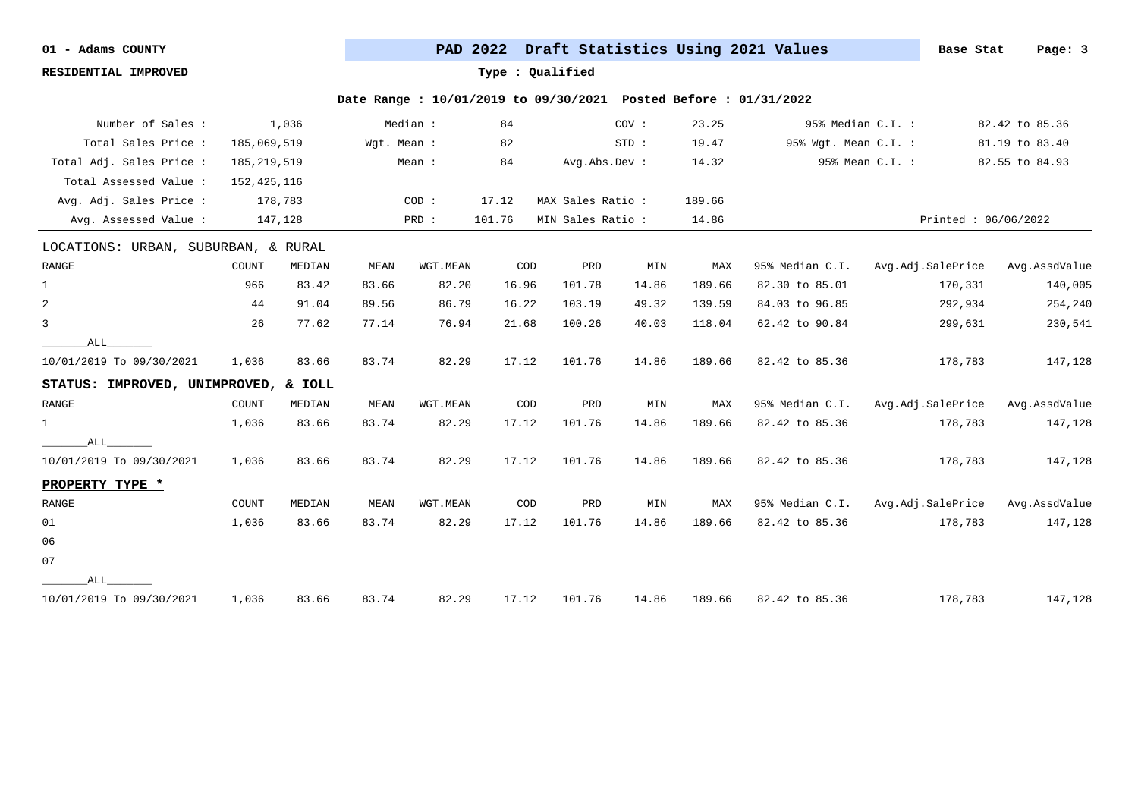**RESIDENTIAL IMPROVED Type : Qualified**

| Number of Sales :                    |               | 1,036   |             | Median : | 84                          |                   | COV:  | 23.25  |                      | 95% Median C.I. :   | 82.42 to 85.36 |
|--------------------------------------|---------------|---------|-------------|----------|-----------------------------|-------------------|-------|--------|----------------------|---------------------|----------------|
| Total Sales Price :                  | 185,069,519   |         | Wgt. Mean : |          | 82                          |                   | STD:  | 19.47  | 95% Wgt. Mean C.I. : |                     | 81.19 to 83.40 |
| Total Adj. Sales Price :             | 185, 219, 519 |         |             | Mean :   | 84                          | Avg.Abs.Dev :     |       | 14.32  |                      | 95% Mean C.I. :     | 82.55 to 84.93 |
| Total Assessed Value:                | 152, 425, 116 |         |             |          |                             |                   |       |        |                      |                     |                |
| Avg. Adj. Sales Price :              |               | 178,783 |             | COD:     | 17.12                       | MAX Sales Ratio : |       | 189.66 |                      |                     |                |
| Avg. Assessed Value:                 |               | 147,128 |             | PRD :    | 101.76                      | MIN Sales Ratio : |       | 14.86  |                      | Printed: 06/06/2022 |                |
| LOCATIONS: URBAN, SUBURBAN, & RURAL  |               |         |             |          |                             |                   |       |        |                      |                     |                |
| RANGE                                | COUNT         | MEDIAN  | MEAN        | WGT.MEAN | COD                         | PRD               | MIN   | MAX    | 95% Median C.I.      | Avg.Adj.SalePrice   | Avg.AssdValue  |
| $\mathbf 1$                          | 966           | 83.42   | 83.66       | 82.20    | 16.96                       | 101.78            | 14.86 | 189.66 | 82.30 to 85.01       | 170,331             | 140,005        |
| $\overline{a}$                       | 44            | 91.04   | 89.56       | 86.79    | 16.22                       | 103.19            | 49.32 | 139.59 | 84.03 to 96.85       | 292,934             | 254,240        |
| 3                                    | 26            | 77.62   | 77.14       | 76.94    | 21.68                       | 100.26            | 40.03 | 118.04 | 62.42 to 90.84       | 299,631             | 230,541        |
| ALL                                  |               |         |             |          |                             |                   |       |        |                      |                     |                |
| 10/01/2019 To 09/30/2021             | 1,036         | 83.66   | 83.74       | 82.29    | 17.12                       | 101.76            | 14.86 | 189.66 | 82.42 to 85.36       | 178,783             | 147,128        |
| STATUS: IMPROVED, UNIMPROVED, & IOLL |               |         |             |          |                             |                   |       |        |                      |                     |                |
| RANGE                                | COUNT         | MEDIAN  | MEAN        | WGT.MEAN | COD                         | PRD               | MIN   | MAX    | 95% Median C.I.      | Avg.Adj.SalePrice   | Avg.AssdValue  |
| $\mathbf{1}$                         | 1,036         | 83.66   | 83.74       | 82.29    | 17.12                       | 101.76            | 14.86 | 189.66 | 82.42 to 85.36       | 178,783             | 147,128        |
| ALL                                  |               |         |             |          |                             |                   |       |        |                      |                     |                |
| 10/01/2019 To 09/30/2021             | 1,036         | 83.66   | 83.74       | 82.29    | 17.12                       | 101.76            | 14.86 | 189.66 | 82.42 to 85.36       | 178,783             | 147,128        |
| PROPERTY TYPE *                      |               |         |             |          |                             |                   |       |        |                      |                     |                |
| RANGE                                | COUNT         | MEDIAN  | MEAN        | WGT.MEAN | $\mathop{\rm COD}\nolimits$ | PRD               | MIN   | MAX    | 95% Median C.I.      | Avg.Adj.SalePrice   | Avg.AssdValue  |
| 01                                   | 1,036         | 83.66   | 83.74       | 82.29    | 17.12                       | 101.76            | 14.86 | 189.66 | 82.42 to 85.36       | 178,783             | 147,128        |
| 06                                   |               |         |             |          |                             |                   |       |        |                      |                     |                |
| 07                                   |               |         |             |          |                             |                   |       |        |                      |                     |                |
| ALL                                  |               |         |             |          |                             |                   |       |        |                      |                     |                |
| 10/01/2019 To 09/30/2021             | 1,036         | 83.66   | 83.74       | 82.29    | 17.12                       | 101.76            | 14.86 | 189.66 | 82.42 to 85.36       | 178,783             | 147,128        |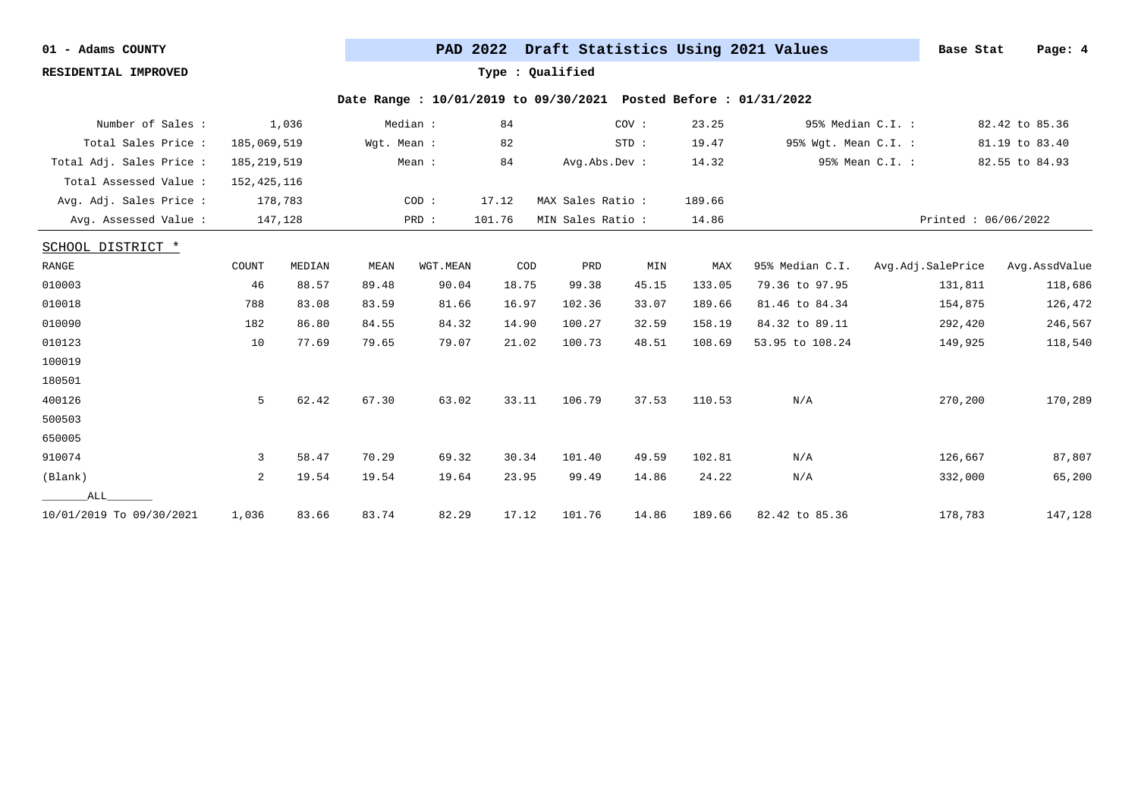**RESIDENTIAL IMPROVED Type : Qualified**

| Number of Sales :        |               | 1,036   |             | Median : | 84     |                  | COV:  | 23.25  |                      | 95% Median C.I. :   | 82.42 to 85.36 |
|--------------------------|---------------|---------|-------------|----------|--------|------------------|-------|--------|----------------------|---------------------|----------------|
| Total Sales Price :      | 185,069,519   |         | Wgt. Mean : |          | 82     |                  | STD:  | 19.47  | 95% Wgt. Mean C.I. : |                     | 81.19 to 83.40 |
| Total Adj. Sales Price : | 185, 219, 519 |         |             | Mean :   | 84     | Avg.Abs.Dev :    |       | 14.32  |                      | 95% Mean C.I. :     | 82.55 to 84.93 |
| Total Assessed Value:    | 152, 425, 116 |         |             |          |        |                  |       |        |                      |                     |                |
| Avg. Adj. Sales Price :  |               | 178,783 |             | COD:     | 17.12  | MAX Sales Ratio: |       | 189.66 |                      |                     |                |
| Avg. Assessed Value :    |               | 147,128 |             | PRD :    | 101.76 | MIN Sales Ratio: |       | 14.86  |                      | Printed: 06/06/2022 |                |
| SCHOOL DISTRICT *        |               |         |             |          |        |                  |       |        |                      |                     |                |
| RANGE                    | COUNT         | MEDIAN  | MEAN        | WGT.MEAN | COD    | PRD              | MIN   | MAX    | 95% Median C.I.      | Avg.Adj.SalePrice   | Avg.AssdValue  |
| 010003                   | 46            | 88.57   | 89.48       | 90.04    | 18.75  | 99.38            | 45.15 | 133.05 | 79.36 to 97.95       | 131,811             | 118,686        |
| 010018                   | 788           | 83.08   | 83.59       | 81.66    | 16.97  | 102.36           | 33.07 | 189.66 | 81.46 to 84.34       | 154,875             | 126,472        |
| 010090                   | 182           | 86.80   | 84.55       | 84.32    | 14.90  | 100.27           | 32.59 | 158.19 | 84.32 to 89.11       | 292,420             | 246,567        |
| 010123                   | 10            | 77.69   | 79.65       | 79.07    | 21.02  | 100.73           | 48.51 | 108.69 | 53.95 to 108.24      | 149,925             | 118,540        |
| 100019                   |               |         |             |          |        |                  |       |        |                      |                     |                |
| 180501                   |               |         |             |          |        |                  |       |        |                      |                     |                |
| 400126                   | 5             | 62.42   | 67.30       | 63.02    | 33.11  | 106.79           | 37.53 | 110.53 | N/A                  | 270,200             | 170,289        |
| 500503                   |               |         |             |          |        |                  |       |        |                      |                     |                |
| 650005                   |               |         |             |          |        |                  |       |        |                      |                     |                |
| 910074                   | 3             | 58.47   | 70.29       | 69.32    | 30.34  | 101.40           | 49.59 | 102.81 | N/A                  | 126,667             | 87,807         |
| (Blank)                  | 2             | 19.54   | 19.54       | 19.64    | 23.95  | 99.49            | 14.86 | 24.22  | N/A                  | 332,000             | 65,200         |
| ALL                      |               |         |             |          |        |                  |       |        |                      |                     |                |
| 10/01/2019 To 09/30/2021 | 1,036         | 83.66   | 83.74       | 82.29    | 17.12  | 101.76           | 14.86 | 189.66 | 82.42 to 85.36       | 178,783             | 147,128        |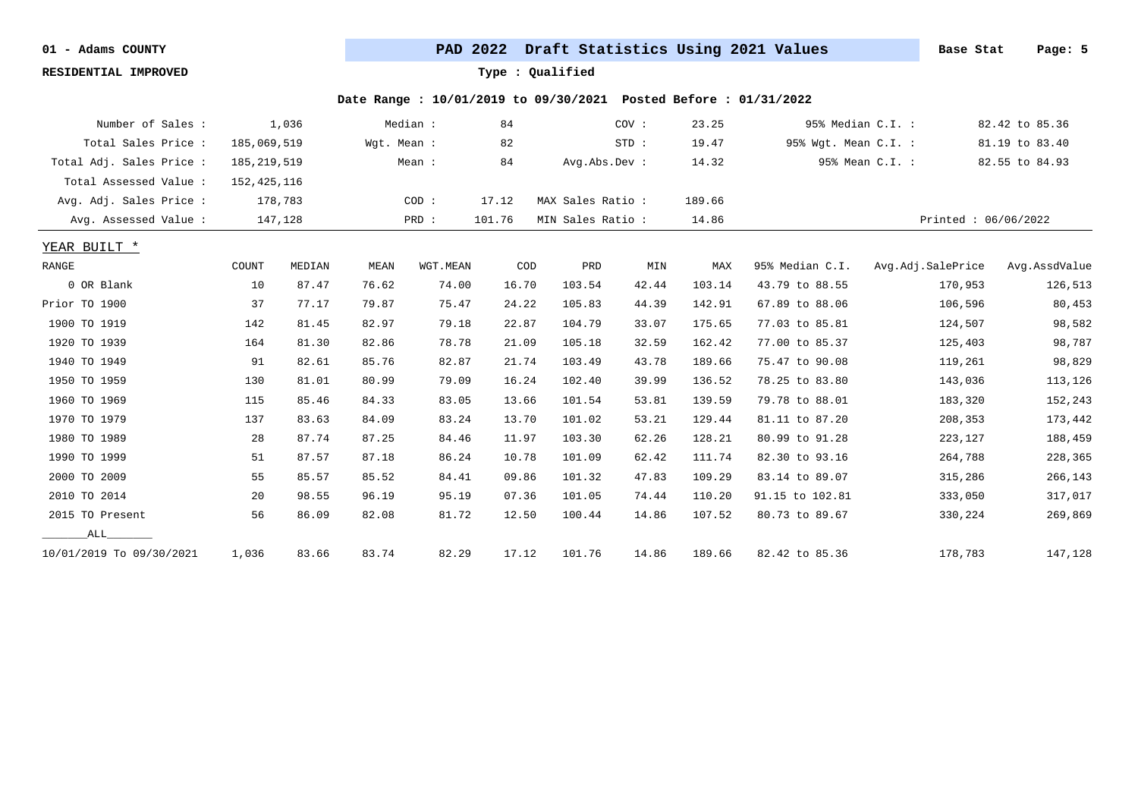**RESIDENTIAL IMPROVED Type : Qualified**

| Number of Sales :        |               | 1,036   |             | Median : | 84     |                  | COV:  | 23.25  |                      | 95% Median C.I. : | 82.42 to 85.36      |
|--------------------------|---------------|---------|-------------|----------|--------|------------------|-------|--------|----------------------|-------------------|---------------------|
| Total Sales Price :      | 185,069,519   |         | Wgt. Mean : |          | 82     |                  | STD:  | 19.47  | 95% Wgt. Mean C.I. : |                   | 81.19 to 83.40      |
| Total Adj. Sales Price : | 185, 219, 519 |         |             | Mean :   | 84     | Avg.Abs.Dev :    |       | 14.32  |                      | 95% Mean C.I. :   | 82.55 to 84.93      |
| Total Assessed Value :   | 152, 425, 116 |         |             |          |        |                  |       |        |                      |                   |                     |
| Avg. Adj. Sales Price :  |               | 178,783 |             | COD:     | 17.12  | MAX Sales Ratio: |       | 189.66 |                      |                   |                     |
| Avg. Assessed Value:     |               | 147,128 |             | PRD :    | 101.76 | MIN Sales Ratio: |       | 14.86  |                      |                   | Printed: 06/06/2022 |
| YEAR BUILT *             |               |         |             |          |        |                  |       |        |                      |                   |                     |
| RANGE                    | COUNT         | MEDIAN  | MEAN        | WGT.MEAN | COD    | PRD              | MIN   | MAX    | 95% Median C.I.      | Avg.Adj.SalePrice | Avg.AssdValue       |
| 0 OR Blank               | 10            | 87.47   | 76.62       | 74.00    | 16.70  | 103.54           | 42.44 | 103.14 | 43.79 to 88.55       | 170,953           | 126,513             |
| Prior TO 1900            | 37            | 77.17   | 79.87       | 75.47    | 24.22  | 105.83           | 44.39 | 142.91 | 67.89 to 88.06       | 106,596           | 80,453              |
| 1900 TO 1919             | 142           | 81.45   | 82.97       | 79.18    | 22.87  | 104.79           | 33.07 | 175.65 | 77.03 to 85.81       | 124,507           | 98,582              |
| 1920 TO 1939             | 164           | 81.30   | 82.86       | 78.78    | 21.09  | 105.18           | 32.59 | 162.42 | 77.00 to 85.37       | 125,403           | 98,787              |
| 1940 TO 1949             | 91            | 82.61   | 85.76       | 82.87    | 21.74  | 103.49           | 43.78 | 189.66 | 75.47 to 90.08       | 119,261           | 98,829              |
| 1950 TO 1959             | 130           | 81.01   | 80.99       | 79.09    | 16.24  | 102.40           | 39.99 | 136.52 | 78.25 to 83.80       | 143,036           | 113,126             |
| 1960 TO 1969             | 115           | 85.46   | 84.33       | 83.05    | 13.66  | 101.54           | 53.81 | 139.59 | 79.78 to 88.01       | 183,320           | 152,243             |
| 1970 TO 1979             | 137           | 83.63   | 84.09       | 83.24    | 13.70  | 101.02           | 53.21 | 129.44 | 81.11 to 87.20       | 208,353           | 173,442             |
| 1980 TO 1989             | 28            | 87.74   | 87.25       | 84.46    | 11.97  | 103.30           | 62.26 | 128.21 | 80.99 to 91.28       | 223,127           | 188,459             |
| 1990 TO 1999             | 51            | 87.57   | 87.18       | 86.24    | 10.78  | 101.09           | 62.42 | 111.74 | 82.30 to 93.16       | 264,788           | 228,365             |
| 2000 TO 2009             | 55            | 85.57   | 85.52       | 84.41    | 09.86  | 101.32           | 47.83 | 109.29 | 83.14 to 89.07       | 315,286           | 266,143             |
| 2010 TO 2014             | 20            | 98.55   | 96.19       | 95.19    | 07.36  | 101.05           | 74.44 | 110.20 | 91.15 to 102.81      | 333,050           | 317,017             |
| 2015 TO Present          | 56            | 86.09   | 82.08       | 81.72    | 12.50  | 100.44           | 14.86 | 107.52 | 80.73 to 89.67       | 330,224           | 269,869             |
| ALL                      |               |         |             |          |        |                  |       |        |                      |                   |                     |
| 10/01/2019 To 09/30/2021 | 1,036         | 83.66   | 83.74       | 82.29    | 17.12  | 101.76           | 14.86 | 189.66 | 82.42 to 85.36       | 178,783           | 147,128             |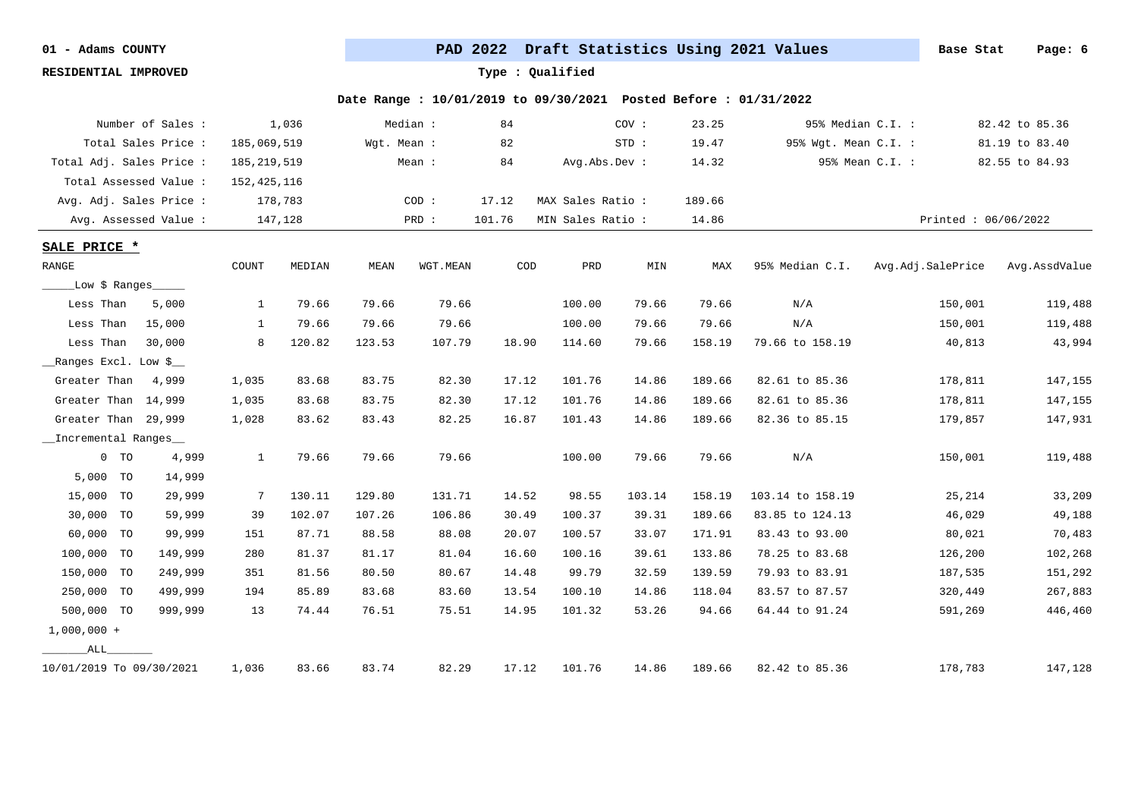**RESIDENTIAL IMPROVED Type : Qualified**

|                          | Number of Sales :      |               | 1,036   |             | Median:  | 84     |                   | COV:   | 23.25  | 95% Median C.I. :    |                       | 82.42 to 85.36 |
|--------------------------|------------------------|---------------|---------|-------------|----------|--------|-------------------|--------|--------|----------------------|-----------------------|----------------|
|                          | Total Sales Price:     | 185,069,519   |         | Wgt. Mean : |          | 82     |                   | STD:   | 19.47  | 95% Wgt. Mean C.I. : |                       | 81.19 to 83.40 |
| Total Adj. Sales Price : |                        | 185, 219, 519 |         |             | Mean :   | 84     | Avg.Abs.Dev :     |        | 14.32  |                      | 95% Mean C.I. :       | 82.55 to 84.93 |
|                          | Total Assessed Value : | 152,425,116   |         |             |          |        |                   |        |        |                      |                       |                |
| Avg. Adj. Sales Price :  |                        |               | 178,783 |             | COD:     | 17.12  | MAX Sales Ratio : |        | 189.66 |                      |                       |                |
|                          | Avg. Assessed Value:   |               | 147,128 |             | PRD :    | 101.76 | MIN Sales Ratio : |        | 14.86  |                      | Printed: $06/06/2022$ |                |
| SALE PRICE *             |                        |               |         |             |          |        |                   |        |        |                      |                       |                |
| RANGE                    |                        | COUNT         | MEDIAN  | MEAN        | WGT.MEAN | COD    | PRD               | MIN    | MAX    | 95% Median C.I.      | Avg.Adj.SalePrice     | Avg.AssdValue  |
| Low \$ Ranges            |                        |               |         |             |          |        |                   |        |        |                      |                       |                |
| Less Than                | 5,000                  | $\mathbf{1}$  | 79.66   | 79.66       | 79.66    |        | 100.00            | 79.66  | 79.66  | N/A                  | 150,001               | 119,488        |
| Less Than                | 15,000                 | $\mathbf{1}$  | 79.66   | 79.66       | 79.66    |        | 100.00            | 79.66  | 79.66  | N/A                  | 150,001               | 119,488        |
| Less Than                | 30,000                 | 8             | 120.82  | 123.53      | 107.79   | 18.90  | 114.60            | 79.66  | 158.19 | 79.66 to 158.19      | 40,813                | 43,994         |
| Ranges Excl. Low \$      |                        |               |         |             |          |        |                   |        |        |                      |                       |                |
| Greater Than             | 4,999                  | 1,035         | 83.68   | 83.75       | 82.30    | 17.12  | 101.76            | 14.86  | 189.66 | 82.61 to 85.36       | 178,811               | 147,155        |
| Greater Than 14,999      |                        | 1,035         | 83.68   | 83.75       | 82.30    | 17.12  | 101.76            | 14.86  | 189.66 | 82.61 to 85.36       | 178,811               | 147,155        |
| Greater Than 29,999      |                        | 1,028         | 83.62   | 83.43       | 82.25    | 16.87  | 101.43            | 14.86  | 189.66 | 82.36 to 85.15       | 179,857               | 147,931        |
| _Incremental Ranges_     |                        |               |         |             |          |        |                   |        |        |                      |                       |                |
| $0$ TO                   | 4,999                  | $\mathbf{1}$  | 79.66   | 79.66       | 79.66    |        | 100.00            | 79.66  | 79.66  | N/A                  | 150,001               | 119,488        |
| 5,000 TO                 | 14,999                 |               |         |             |          |        |                   |        |        |                      |                       |                |
| 15,000 TO                | 29,999                 | -7            | 130.11  | 129.80      | 131.71   | 14.52  | 98.55             | 103.14 | 158.19 | 103.14 to 158.19     | 25,214                | 33,209         |
| 30,000 TO                | 59,999                 | 39            | 102.07  | 107.26      | 106.86   | 30.49  | 100.37            | 39.31  | 189.66 | 83.85 to 124.13      | 46,029                | 49,188         |
| 60,000 TO                | 99,999                 | 151           | 87.71   | 88.58       | 88.08    | 20.07  | 100.57            | 33.07  | 171.91 | 83.43 to 93.00       | 80,021                | 70,483         |
| 100,000 TO               | 149,999                | 280           | 81.37   | 81.17       | 81.04    | 16.60  | 100.16            | 39.61  | 133.86 | 78.25 to 83.68       | 126,200               | 102,268        |
| 150,000 TO               | 249,999                | 351           | 81.56   | 80.50       | 80.67    | 14.48  | 99.79             | 32.59  | 139.59 | 79.93 to 83.91       | 187,535               | 151,292        |
| 250,000 TO               | 499,999                | 194           | 85.89   | 83.68       | 83.60    | 13.54  | 100.10            | 14.86  | 118.04 | 83.57 to 87.57       | 320,449               | 267,883        |
| 500,000 TO               | 999,999                | 13            | 74.44   | 76.51       | 75.51    | 14.95  | 101.32            | 53.26  | 94.66  | 64.44 to 91.24       | 591,269               | 446,460        |
| $1,000,000 +$            |                        |               |         |             |          |        |                   |        |        |                      |                       |                |
| ALL                      |                        |               |         |             |          |        |                   |        |        |                      |                       |                |
| 10/01/2019 To 09/30/2021 |                        | 1,036         | 83.66   | 83.74       | 82.29    | 17.12  | 101.76            | 14.86  | 189.66 | 82.42 to 85.36       | 178,783               | 147,128        |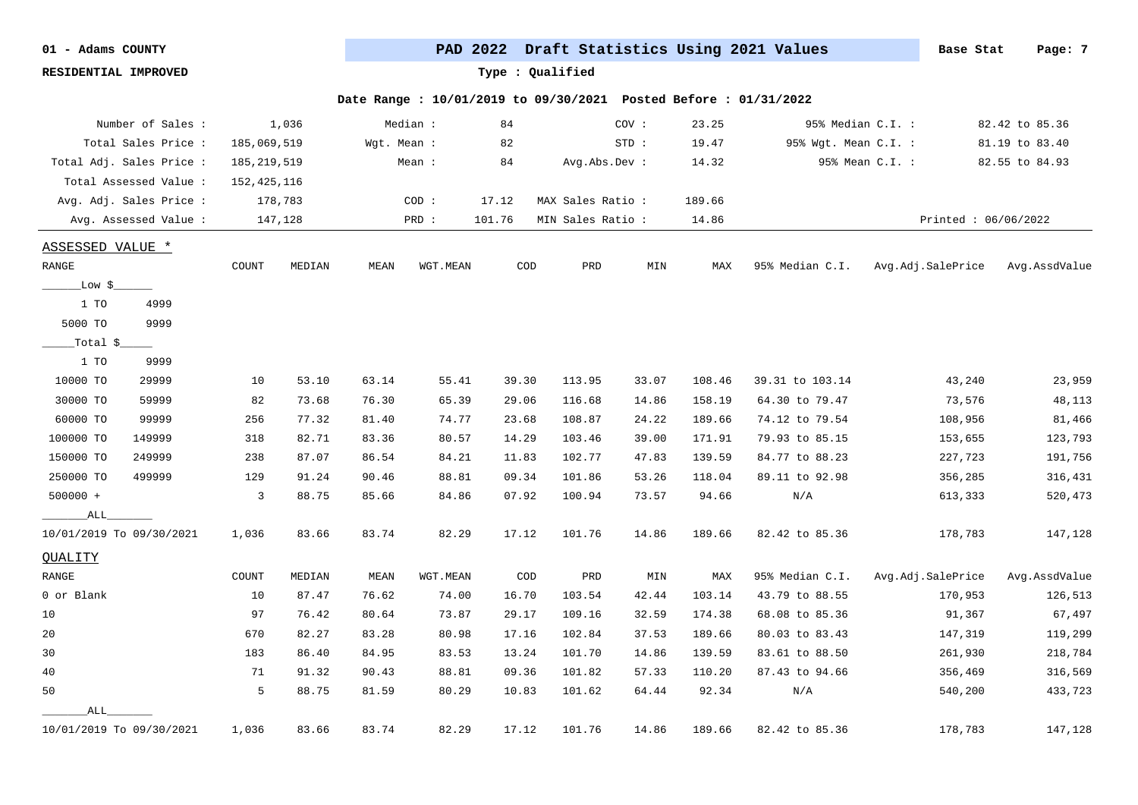**RESIDENTIAL IMPROVED Type : Qualified**

| Number of Sales :        |                | 1,036   |             | Median : | 84     |                  | cov:    | 23.25  |                      | 95% Median C.I. :   | 82.42 to 85.36 |
|--------------------------|----------------|---------|-------------|----------|--------|------------------|---------|--------|----------------------|---------------------|----------------|
| Total Sales Price :      | 185,069,519    |         | Wgt. Mean : |          | 82     |                  | $STD$ : | 19.47  | 95% Wgt. Mean C.I. : |                     | 81.19 to 83.40 |
| Total Adj. Sales Price : | 185, 219, 519  |         |             | Mean :   | 84     | Avg.Abs.Dev :    |         | 14.32  |                      | 95% Mean C.I. :     | 82.55 to 84.93 |
| Total Assessed Value:    | 152,425,116    |         |             |          |        |                  |         |        |                      |                     |                |
| Avg. Adj. Sales Price :  |                | 178,783 |             | COD:     | 17.12  | MAX Sales Ratio: |         | 189.66 |                      |                     |                |
| Avg. Assessed Value :    |                | 147,128 |             | PRD :    | 101.76 | MIN Sales Ratio: |         | 14.86  |                      | Printed: 06/06/2022 |                |
| <b>ASSESSED VALUE *</b>  |                |         |             |          |        |                  |         |        |                      |                     |                |
| RANGE                    | COUNT          | MEDIAN  | MEAN        | WGT.MEAN | COD    | PRD              | MIN     | MAX    | 95% Median C.I.      | Avg.Adj.SalePrice   | Avg.AssdValue  |
| _Low \$_                 |                |         |             |          |        |                  |         |        |                      |                     |                |
| 1 TO<br>4999             |                |         |             |          |        |                  |         |        |                      |                     |                |
| 5000 TO<br>9999          |                |         |             |          |        |                  |         |        |                      |                     |                |
| _Total $\sim$            |                |         |             |          |        |                  |         |        |                      |                     |                |
| 1 TO<br>9999             |                |         |             |          |        |                  |         |        |                      |                     |                |
| 10000 TO<br>29999        | 10             | 53.10   | 63.14       | 55.41    | 39.30  | 113.95           | 33.07   | 108.46 | 39.31 to 103.14      | 43,240              | 23,959         |
| 30000 TO<br>59999        | 82             | 73.68   | 76.30       | 65.39    | 29.06  | 116.68           | 14.86   | 158.19 | 64.30 to 79.47       | 73,576              | 48,113         |
| 60000 TO<br>99999        | 256            | 77.32   | 81.40       | 74.77    | 23.68  | 108.87           | 24.22   | 189.66 | 74.12 to 79.54       | 108,956             | 81,466         |
| 100000 TO<br>149999      | 318            | 82.71   | 83.36       | 80.57    | 14.29  | 103.46           | 39.00   | 171.91 | 79.93 to 85.15       | 153,655             | 123,793        |
| 249999<br>150000 TO      | 238            | 87.07   | 86.54       | 84.21    | 11.83  | 102.77           | 47.83   | 139.59 | 84.77 to 88.23       | 227,723             | 191,756        |
| 250000 TO<br>499999      | 129            | 91.24   | 90.46       | 88.81    | 09.34  | 101.86           | 53.26   | 118.04 | 89.11 to 92.98       | 356,285             | 316,431        |
| 500000 +                 | $\overline{3}$ | 88.75   | 85.66       | 84.86    | 07.92  | 100.94           | 73.57   | 94.66  | N/A                  | 613,333             | 520,473        |
| ALL                      |                |         |             |          |        |                  |         |        |                      |                     |                |
| 10/01/2019 To 09/30/2021 | 1,036          | 83.66   | 83.74       | 82.29    | 17.12  | 101.76           | 14.86   | 189.66 | 82.42 to 85.36       | 178,783             | 147,128        |
| QUALITY                  |                |         |             |          |        |                  |         |        |                      |                     |                |
| RANGE                    | COUNT          | MEDIAN  | MEAN        | WGT.MEAN | COD    | PRD              | MIN     | MAX    | 95% Median C.I.      | Avg.Adj.SalePrice   | Avg.AssdValue  |
| 0 or Blank               | 10             | 87.47   | 76.62       | 74.00    | 16.70  | 103.54           | 42.44   | 103.14 | 43.79 to 88.55       | 170,953             | 126,513        |
| 10                       | 97             | 76.42   | 80.64       | 73.87    | 29.17  | 109.16           | 32.59   | 174.38 | 68.08 to 85.36       | 91,367              | 67,497         |
| 20                       | 670            | 82.27   | 83.28       | 80.98    | 17.16  | 102.84           | 37.53   | 189.66 | 80.03 to 83.43       | 147,319             | 119,299        |
| 30                       | 183            | 86.40   | 84.95       | 83.53    | 13.24  | 101.70           | 14.86   | 139.59 | 83.61 to 88.50       | 261,930             | 218,784        |
| 40                       | 71             | 91.32   | 90.43       | 88.81    | 09.36  | 101.82           | 57.33   | 110.20 | 87.43 to 94.66       | 356,469             | 316,569        |
| 50                       | 5              | 88.75   | 81.59       | 80.29    | 10.83  | 101.62           | 64.44   | 92.34  | N/A                  | 540,200             | 433,723        |
| ALL                      |                |         |             |          |        |                  |         |        |                      |                     |                |
| 10/01/2019 To 09/30/2021 | 1,036          | 83.66   | 83.74       | 82.29    | 17.12  | 101.76           | 14.86   | 189.66 | 82.42 to 85.36       | 178,783             | 147,128        |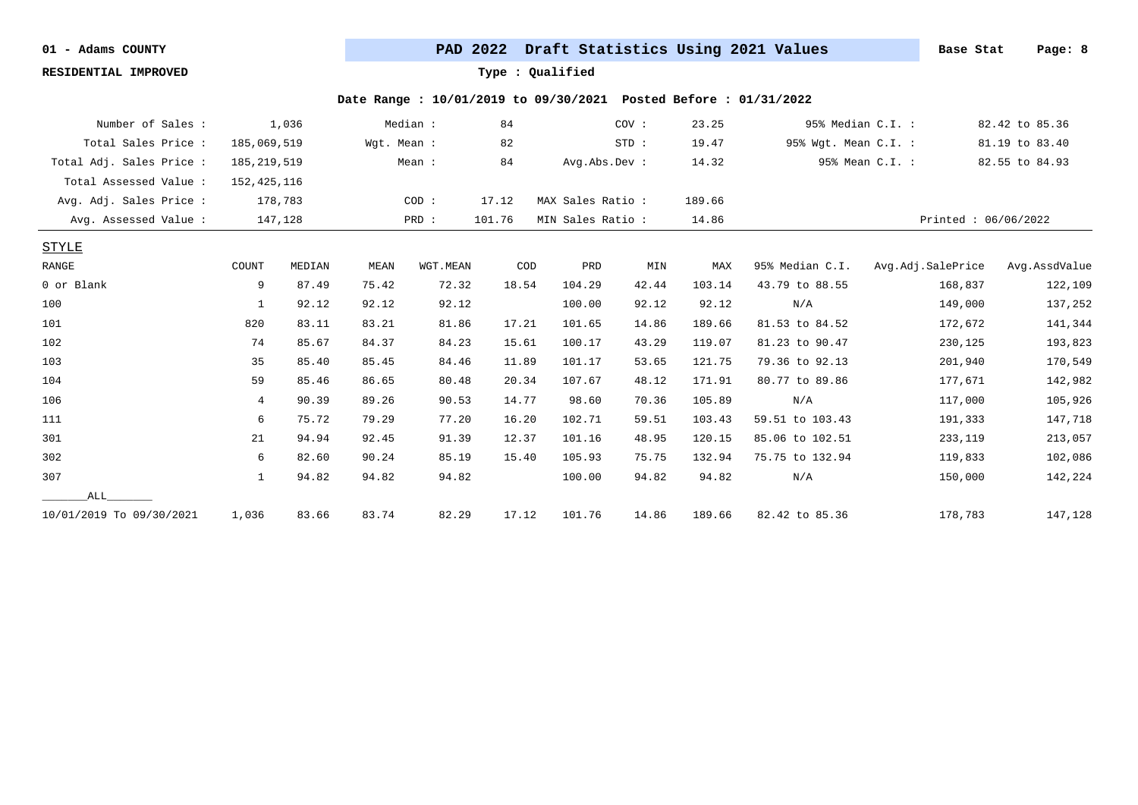**RESIDENTIAL IMPROVED Type : Qualified**

| Number of Sales :        |                | 1,036   |             | Median : | 84     |                  | COV:  | 23.25  | 95% Median C.I. :    |                   | 82.42 to 85.36      |
|--------------------------|----------------|---------|-------------|----------|--------|------------------|-------|--------|----------------------|-------------------|---------------------|
| Total Sales Price :      | 185,069,519    |         | Wgt. Mean : |          | 82     |                  | STD:  | 19.47  | 95% Wgt. Mean C.I. : |                   | 81.19 to 83.40      |
| Total Adj. Sales Price : | 185, 219, 519  |         |             | Mean:    | 84     | Avg.Abs.Dev :    |       | 14.32  |                      | 95% Mean C.I. :   | 82.55 to 84.93      |
| Total Assessed Value:    | 152, 425, 116  |         |             |          |        |                  |       |        |                      |                   |                     |
| Avg. Adj. Sales Price :  |                | 178,783 |             | COD:     | 17.12  | MAX Sales Ratio: |       | 189.66 |                      |                   |                     |
| Avg. Assessed Value :    |                | 147,128 |             | PRD :    | 101.76 | MIN Sales Ratio: |       | 14.86  |                      |                   | Printed: 06/06/2022 |
| <b>STYLE</b>             |                |         |             |          |        |                  |       |        |                      |                   |                     |
| RANGE                    | COUNT          | MEDIAN  | MEAN        | WGT.MEAN | COD    | PRD              | MIN   | MAX    | 95% Median C.I.      | Avg.Adj.SalePrice | Avg.AssdValue       |
| 0 or Blank               | 9              | 87.49   | 75.42       | 72.32    | 18.54  | 104.29           | 42.44 | 103.14 | 43.79 to 88.55       | 168,837           | 122,109             |
| 100                      | 1              | 92.12   | 92.12       | 92.12    |        | 100.00           | 92.12 | 92.12  | N/A                  | 149,000           | 137,252             |
| 101                      | 820            | 83.11   | 83.21       | 81.86    | 17.21  | 101.65           | 14.86 | 189.66 | 81.53 to 84.52       | 172,672           | 141,344             |
| 102                      | 74             | 85.67   | 84.37       | 84.23    | 15.61  | 100.17           | 43.29 | 119.07 | 81.23 to 90.47       | 230,125           | 193,823             |
| 103                      | 35             | 85.40   | 85.45       | 84.46    | 11.89  | 101.17           | 53.65 | 121.75 | 79.36 to 92.13       | 201,940           | 170,549             |
| 104                      | 59             | 85.46   | 86.65       | 80.48    | 20.34  | 107.67           | 48.12 | 171.91 | 80.77 to 89.86       | 177,671           | 142,982             |
| 106                      | $\overline{4}$ | 90.39   | 89.26       | 90.53    | 14.77  | 98.60            | 70.36 | 105.89 | N/A                  | 117,000           | 105,926             |
| 111                      | 6              | 75.72   | 79.29       | 77.20    | 16.20  | 102.71           | 59.51 | 103.43 | 59.51 to 103.43      | 191,333           | 147,718             |
| 301                      | 21             | 94.94   | 92.45       | 91.39    | 12.37  | 101.16           | 48.95 | 120.15 | 85.06 to 102.51      | 233,119           | 213,057             |
| 302                      | 6              | 82.60   | 90.24       | 85.19    | 15.40  | 105.93           | 75.75 | 132.94 | 75.75 to 132.94      | 119,833           | 102,086             |
| 307                      | $\mathbf{1}$   | 94.82   | 94.82       | 94.82    |        | 100.00           | 94.82 | 94.82  | N/A                  | 150,000           | 142,224             |
| ALL                      |                |         |             |          |        |                  |       |        |                      |                   |                     |
| 10/01/2019 To 09/30/2021 | 1,036          | 83.66   | 83.74       | 82.29    | 17.12  | 101.76           | 14.86 | 189.66 | 82.42 to 85.36       | 178,783           | 147,128             |